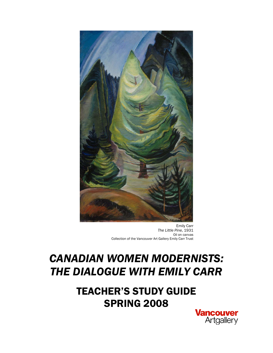

Emily Carr *The Little Pine*, 1931 Oil on canvas Collection of the Vancouver Art Gallery Emily Carr Trust

# *CANADIAN WOMEN MODERNISTS: THE DIALOGUE WITH EMILY CARR*

TEACHER'S STUDY GUIDE SPRING 2008

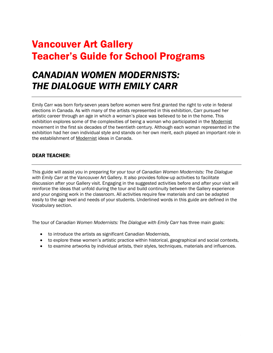# Vancouver Art Gallery Teacher's Guide for School Programs

# *CANADIAN WOMEN MODERNISTS: THE DIALOGUE WITH EMILY CARR*

Emily Carr was born forty-seven years before women were first granted the right to vote in federal elections in Canada. As with many of the artists represented in this exhibition, Carr pursued her artistic career through an age in which a woman's place was believed to be in the home. This exhibition explores some of the complexities of being a woman who participated in the Modernist movement in the first six decades of the twentieth century. Although each woman represented in the exhibition had her own individual style and stands on her own merit, each played an important role in the establishment of Modernist ideas in Canada.

# DEAR TEACHER:

This guide will assist you in preparing for your tour of *Canadian Women Modernists: The Dialogue with Emily Carr* at the Vancouver Art Gallery*.* It also provides follow-up activities to facilitate discussion after your Gallery visit. Engaging in the suggested activities before and after your visit will reinforce the ideas that unfold during the tour and build continuity between the Gallery experience and your ongoing work in the classroom. All activities require few materials and can be adapted easily to the age level and needs of your students. Underlined words in this guide are defined in the Vocabulary section.

The tour of *Canadian Women Modernists: The Dialogue with Emily Carr* has three main goals:

- to introduce the artists as significant Canadian Modernists,
- to explore these women's artistic practice within historical, geographical and social contexts,
- to examine artworks by individual artists, their styles, techniques, materials and influences.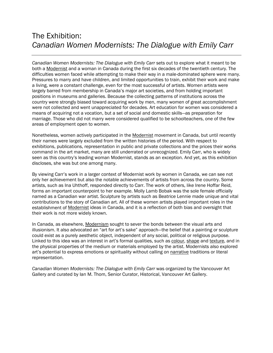# The Exhibition: *Canadian Women Modernists: The Dialogue with Emily Carr*

*Canadian Women Modernists: The Dialogue with Emily Carr* sets out to explore what it meant to be both a Modernist and a woman in Canada during the first six decades of the twentieth century. The difficulties women faced while attempting to make their way in a male-dominated sphere were many. Pressures to marry and have children, and limited opportunities to train, exhibit their work and make a living, were a constant challenge, even for the most successful of artists. Women artists were largely barred from membership in Canada's major art societies, and from holding important positions in museums and galleries. Because the collecting patterns of institutions across the country were strongly biased toward acquiring work by men, many women of great accomplishment were not collected and went unappreciated for decades. Art education for women was considered a means of acquiring not a vocation, but a set of social and domestic skills—as preparation for marriage. Those who did not marry were considered qualified to be schoolteachers, one of the few areas of employment open to women.

Nonetheless, women actively participated in the Modernist movement in Canada, but until recently their names were largely excluded from the written histories of the period. With respect to exhibitions, publications, representation in public and private collections and the prices their works command in the art market, many are still underrated or unrecognized. Emily Carr, who is widely seen as this country's leading woman Modernist, stands as an exception. And yet, as this exhibition discloses, she was but one among many.

By viewing Carr's work in a larger context of Modernist work by women in Canada, we can see not only her achievement but also the notable achievements of artists from across the country. Some artists, such as Ina Uhthoff, responded directly to Carr. The work of others, like Irene Hoffar Reid, forms an important counterpoint to her example. Molly Lamb Bobak was the sole female officially named as a Canadian war artist. Sculpture by artists such as Beatrice Lennie made unique and vital contributions to the story of Canadian art. All of these women artists played important roles in the establishment of Modernist ideas in Canada, and it is a reflection of both bias and oversight that their work is not more widely known.

In Canada, as elsewhere, Modernism sought to sever the bonds between the visual arts and illusionism. It also advocated an "art for art's sake" approach—the belief that a painting or sculpture could exist as a purely aesthetic object, independent of any social, political or religious purpose. Linked to this idea was an interest in art's formal qualities, such as colour, shape and texture, and in the physical properties of the medium or materials employed by the artist. Modernists also explored art's potential to express emotions or spirituality without calling on narrative traditions or literal representation.

*Canadian Women Modernists: The Dialogue with Emily Carr* was organized by the Vancouver Art Gallery and curated by Ian M. Thom, Senior Curator, Historical, Vancouver Art Gallery.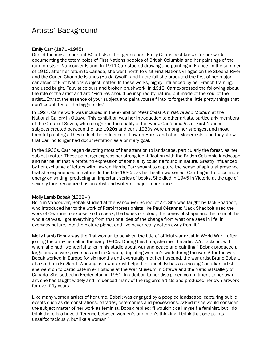## Emily Carr (1871–1945)

One of the most important BC artists of her generation, Emily Carr is best known for her work documenting the totem poles of First Nations peoples of British Columbia and her paintings of the rain forests of Vancouver Island. In 1911 Carr studied drawing and painting in France. In the summer of 1912, after her return to Canada, she went north to visit First Nations villages on the Skeena River and the Queen Charlotte Islands (Haida Gwaii), and in the fall she produced the first of her major canvases of First Nations subject matter. In these works, highly influenced by her French training, she used bright, Fauvist colours and broken brushwork. In 1912, Carr expressed the following about the role of the artist and art: "Pictures should be inspired by nature, but made of the soul of the artist…Extract the essence of your subject and paint yourself into it; forget the little pretty things that don't count, try for the bigger side."

In 1927, Carr's work was included in the exhibition *West Coast Art: Native and Modern* at the National Gallery in Ottawa*.* This exhibition was her introduction to other artists, particularly members of the Group of Seven, who recognized the quality of her work. Carr's images of First Nations subjects created between the late 1920s and early 1930s were among her strongest and most forceful paintings. They reflect the influence of Lawren Harris and other Modernists, and they show that Carr no longer had documentation as a primary goal.

In the 1930s, Carr began devoting most of her attention to landscape, particularly the forest, as her subject matter. These paintings express her strong identification with the British Columbia landscape and her belief that a profound expression of spirituality could be found in nature. Greatly influenced by her exchange of letters with Lawren Harris, Carr sought to capture the sense of spiritual presence that she experienced in nature. In the late 1930s, as her health worsened, Carr began to focus more energy on writing, producing an important series of books. She died in 1945 in Victoria at the age of seventy-four, recognized as an artist and writer of major importance.

#### Molly Lamb Bobak (1922– )

Born in Vancouver, Bobak studied at the Vancouver School of Art. She was taught by Jack Shadbolt, who introduced her to the work of Post-Impressionists like Paul Cézanne: "Jack Shadbolt used the work of Cézanne to expose, so to speak, the bones of colour, the bones of shape and the form of the whole canvas. I got everything from that one idea of the change from what one sees in life, in everyday nature, into the picture plane, and I've never really gotten away from it."

Molly Lamb Bobak was the first woman to be given the title of official war artist in World War II after joining the army herself in the early 1940s. During this time, she met the artist A.Y. Jackson, with whom she had "wonderful talks in his studio about war and peace and painting." Bobak produced a large body of work, overseas and in Canada, depicting women's work during the war. After the war, Bobak worked in Europe for six months and eventually met her husband, the war artist Bruno Bobak, at a studio in England. Working as a war artist helped to launch Bobak as a young Canadian artist: she went on to participate in exhibitions at the War Museum in Ottawa and the National Gallery of Canada. She settled in Fredericton in 1961. In addition to her disciplined commitment to her own art, she has taught widely and influenced many of the region's artists and produced her own artwork for over fifty years.

Like many women artists of her time, Bobak was engaged by a peopled landscape, capturing public events such as demonstrations, parades, ceremonies and processions. Asked if she would consider the subject matter of her work as feminist, Bobak replied: "I wouldn't call myself a feminist, but I do think there is a huge difference between women's and men's thinking. I think that one paints unselfconsciously, but like a woman."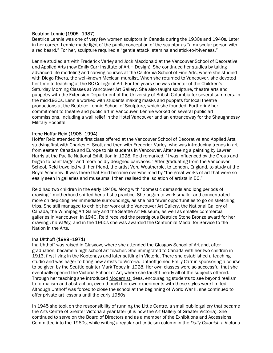### Beatrice Lennie (1905–1987)

Beatrice Lennie was one of very few women sculptors in Canada during the 1930s and 1940s. Later in her career, Lennie made light of the public conception of the sculptor as "a muscular person with a red beard." For her, sculpture required a "gentle attack, stamina and stick-to-it-iveness."

Lennie studied art with Frederick Varley and Jock Macdonald at the Vancouver School of Decorative and Applied Arts (now Emily Carr Institute of Art + Design). She continued her studies by taking advanced life modeling and carving courses at the California School of Fine Arts, where she studied with Diego Rivera, the well-known Mexican muralist. When she returned to Vancouver, she devoted her time to teaching at the BC College of Art. For ten years she was director of the Children's Saturday Morning Classes at Vancouver Art Gallery. She also taught sculpture, theatre arts and puppetry with the Extension Department of the University of British Columbia for several summers. In the mid-1930s, Lennie worked with students making masks and puppets for local theatre productions at the Beatrice Lennie School of Sculpture, which she founded. Furthering her commitment to theatre and public art in Vancouver, Lennie worked on several public art commissions, including a wall relief in the Hotel Vancouver and an entranceway for the Shaughnessy Military Hospital.

#### Irene Hoffar Reid (1908–1994)

Hoffar Reid attended the first class offered at the Vancouver School of Decorative and Applied Arts, studying first with Charles H. Scott and then with Frederick Varley, who was introducing trends in art from eastern Canada and Europe to his students in Vancouver. After seeing a painting by Lawren Harris at the Pacific National Exhibition in 1928, Reid remarked, "I was influenced by the Group and began to paint larger and more boldly designed canvases." After graduating from the Vancouver School, Reid travelled with her friend, the artist Vera Weatherbie, to London, England, to study at the Royal Academy. It was there that Reid became overwhelmed by "the great works of art that were so easily seen in galleries and museums. I then realised the isolation of artists in BC."

Reid had two children in the early 1940s. Along with "domestic demands and long periods of drawing," motherhood shifted her artistic practice. She began to work smaller and concentrated more on depicting her immediate surroundings, as she had fewer opportunities to go on sketching trips. She still managed to exhibit her work at the Vancouver Art Gallery, the National Gallery of Canada, the Winnipeg Art Gallery and the Seattle Art Museum, as well as smaller commercial galleries in Vancouver. In 1940, Reid received the prestigious Beatrice Stone Bronze award for her drawing *The Valley,* and in the 1960s she was awarded the Centennial Medal for Service to the Nation in the Arts.

#### Ina Uhthoff (1989–1971)

Ina Uhthoff was raised in Glasgow, where she attended the Glasgow School of Art and, after graduation, became a high school art teacher. She immigrated to Canada with her two children in 1913, first living in the Kootenays and later settling in Victoria. There she established a teaching studio and was eager to bring new artists to Victoria. Uhthoff joined Emily Carr in sponsoring a course to be given by the Seattle painter Mark Tobey in 1928. Her own classes were so successful that she eventually opened the Victoria School of Art, where she taught nearly all of the subjects offered. Through her teaching she introduced Modernist ideas, encouraging students to see beyond realism to formalism and abstraction, even though her own experiments with these styles were limited. Although Uhthoff was forced to close the school at the beginning of World War II, she continued to offer private art lessons until the early 1950s.

In 1945 she took on the responsibility of running the Little Centre, a small public gallery that became the Arts Centre of Greater Victoria a year later (it is now the Art Gallery of Greater Victoria). She continued to serve on the Board of Directors and as a member of the Exhibitions and Accessions Committee into the 1960s, while writing a regular art criticism column in the *Daily Colonist,* a Victoria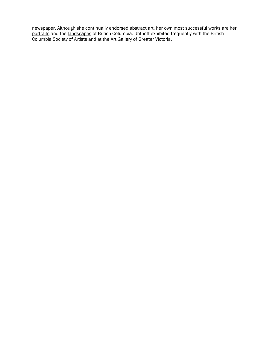newspaper. Although she continually endorsed abstract art, her own most successful works are her portraits and the landscapes of British Columbia. Uhthoff exhibited frequently with the British Columbia Society of Artists and at the Art Gallery of Greater Victoria.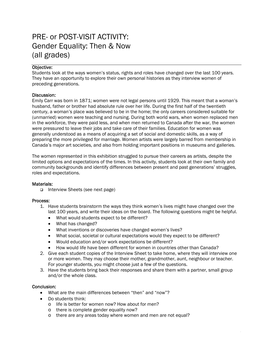# PRE- or POST-VISIT ACTIVITY: Gender Equality: Then & Now (all grades)

## Objective:

Students look at the ways women's status, rights and roles have changed over the last 100 years. They have an opportunity to explore their own personal histories as they interview women of preceding generations.

#### Discussion:

Emily Carr was born in 1871; women were not legal persons until 1929. This meant that a woman's husband, father or brother had absolute rule over her life. During the first half of the twentieth century, a woman's place was believed to be in the home; the only careers considered suitable for (unmarried) women were teaching and nursing. During both world wars, when women replaced men in the workforce, they were paid less, and when men returned to Canada after the war, the women were pressured to leave their jobs and take care of their families. Education for women was generally understood as a means of acquiring a set of social and domestic skills, as a way of preparing the more privileged for marriage. Women artists were largely barred from membership in Canada's major art societies, and also from holding important positions in museums and galleries.

The women represented in this exhibition struggled to pursue their careers as artists, despite the limited options and expectations of the times. In this activity, students look at their own family and community backgrounds and identify differences between present and past generations' struggles, roles and expectations.

#### Materials:

□ Interview Sheets (see next page)

#### Process:

- 1. Have students brainstorm the ways they think women's lives might have changed over the last 100 years, and write their ideas on the board. The following questions might be helpful.
	- What would students expect to be different?
	- What has changed?
	- What inventions or discoveries have changed women's lives?
	- What social, societal or cultural expectations would they expect to be different?
	- Would education and/or work expectations be different?
	- How would life have been different for women in countries other than Canada?
- 2. Give each student copies of the Interview Sheet to take home, where they will interview one or more women. They may choose their mother, grandmother, aunt, neighbour or teacher. For younger students, you might choose just a few of the questions.
- 3. Have the students bring back their responses and share them with a partner, small group and/or the whole class.

- What are the main differences between "then" and "now"?
- Do students think:
	- o life is better for women now? How about for men?
	- o there is complete gender equality now?
	- o there are any areas today where women and men are not equal?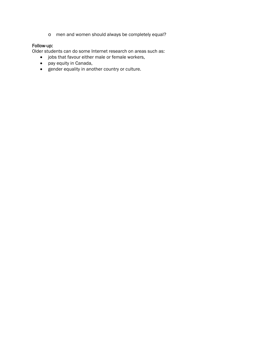o men and women should always be completely equal?

# Follow-up:

Older students can do some Internet research on areas such as:

- jobs that favour either male or female workers,
- pay equity in Canada,
- gender equality in another country or culture.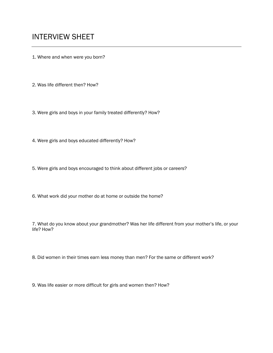1. Where and when were you born?

2. Was life different then? How?

3. Were girls and boys in your family treated differently? How?

4. Were girls and boys educated differently? How?

5. Were girls and boys encouraged to think about different jobs or careers?

6. What work did your mother do at home or outside the home?

7. What do you know about your grandmother? Was her life different from your mother's life, or your life? How?

8. Did women in their times earn less money than men? For the same or different work?

9. Was life easier or more difficult for girls and women then? How?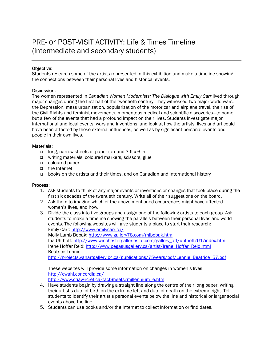# PRE- or POST-VISIT ACTIVITY: Life & Times Timeline (intermediate and secondary students)

### Objective:

Students research some of the artists represented in this exhibition and make a timeline showing the connections between their personal lives and historical events.

#### Discussion:

The women represented in *Canadian Women Modernists: The Dialogue with Emily Carr* lived through major changes during the first half of the twentieth century. They witnessed two major world wars, the Depression, mass urbanization, popularization of the motor car and airplane travel, the rise of the Civil Rights and feminist movements, momentous medical and scientific discoveries—to name but a few of the events that had a profound impact on their lives. Students investigate major international and local events, wars and inventions, and look at how the artists' lives and art could have been affected by those external influences, as well as by significant personal events and people in their own lives.

#### Materials:

- $\Box$  long, narrow sheets of paper (around 3 ft x 6 in)
- writing materials, coloured markers, scissors, glue
- coloured paper
- the Internet
- books on the artists and their times, and on Canadian and international history

#### Process:

- 1. Ask students to think of any major events or inventions or changes that took place during the first six decades of the twentieth century. Write all of their suggestions on the board.
- 2. Ask them to imagine which of the above-mentioned occurrences might have affected women's lives, and how.
- 3. Divide the class into five groups and assign one of the following artists to each group. Ask students to make a timeline showing the parallels between their personal lives and world events. The following websites will give students a place to start their research: Emily Carr:<http://www.emilycarr.ca/> Molly Lamb Bobak: <http://www.gallery78.com/mlbobak.htm> Ina Uhthoff: [http://www.winchestergalleriesltd.com/gallery\\_art/uhthoff/U1/index.htm](http://www.winchestergalleriesltd.com/gallery_art/uhthoff/U1/index.htm) Irene Hoffar Reid: [http://www.pegasusgallery.ca/artist/Irene\\_Hoffar\\_Reid.html](http://www.pegasusgallery.ca/artist/Irene_Hoffar_Reid.html) Beatrice Lennie:

[http://projects.vanartgallery.bc.ca/publications/75years/pdf/Lennie\\_Beatrice\\_57.pdf](http://projects.vanartgallery.bc.ca/publications/75years/pdf/Lennie_Beatrice_57.pdf)

These websites will provide some information on changes in women's lives: <http://cwahi.concordia.ca/> [http://www.criaw-icref.ca/factSheets/millennium\\_e.htm](http://www.criaw-icref.ca/factSheets/millennium_e.htm)

- 4. Have students begin by drawing a straight line along the centre of their long paper, writing their artist's date of birth on the extreme left and date of death on the extreme right. Tell students to identify their artist's personal events below the line and historical or larger social events above the line.
- 5. Students can use books and/or the Internet to collect information or find dates.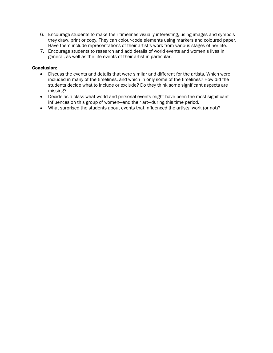- 6. Encourage students to make their timelines visually interesting, using images and symbols they draw, print or copy. They can colour-code elements using markers and coloured paper. Have them include representations of their artist's work from various stages of her life.
- 7. Encourage students to research and add details of world events and women's lives in general, as well as the life events of their artist in particular.

- Discuss the events and details that were similar and different for the artists. Which were included in many of the timelines, and which in only some of the timelines? How did the students decide what to include or exclude? Do they think some significant aspects are missing?
- Decide as a class what world and personal events might have been the most significant influences on this group of women—and their art—during this time period.
- What surprised the students about events that influenced the artists' work (or not)?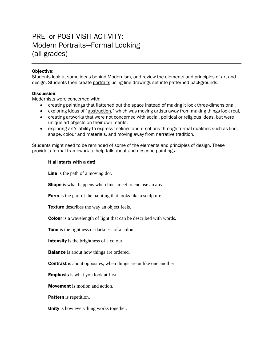# PRE- or POST-VISIT ACTIVITY: Modern Portraits—Formal Looking (all grades)

### Objective:

Students look at some ideas behind Modernism, and review the elements and principles of art and design. Students then create portraits using line drawings set into patterned backgrounds.

#### Discussion:

Modernists were concerned with:

- creating paintings that flattened out the space instead of making it look three-dimensional,
- exploring ideas of "abstraction," which was moving artists away from making things look real,
- creating artworks that were not concerned with social, political or religious ideas, but were unique art objects on their own merits,
- exploring art's ability to express feelings and emotions through formal qualities such as line, shape, colour and materials, and moving away from narrative tradition.

Students might need to be reminded of some of the elements and principles of design. These provide a formal framework to help talk about and describe paintings.

#### It all starts with a dot!

Line is the path of a moving dot.

**Shape** is what happens when lines meet to enclose an area.

Form is the part of the painting that looks like a sculpture.

**Texture** describes the way an object feels.

Colour is a wavelength of light that can be described with words.

Tone is the lightness or darkness of a colour.

Intensity is the brightness of a colour.

**Balance** is about how things are ordered.

**Contrast** is about opposites, when things are unlike one another.

Emphasis is what you look at first.

Movement is motion and action.

**Pattern** is repetition.

Unity is how everything works together.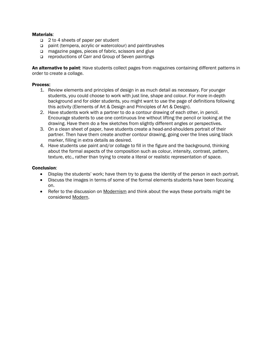### Materials:

- □ 2 to 4 sheets of paper per student
- □ paint (tempera, acrylic or watercolour) and paintbrushes
- □ magazine pages, pieces of fabric, scissors and glue
- □ reproductions of Carr and Group of Seven paintings

An alternative to paint: Have students collect pages from magazines containing different patterns in order to create a collage.

#### Process:

- 1. Review elements and principles of design in as much detail as necessary. For younger students, you could choose to work with just line, shape and colour. For more in-depth background and for older students, you might want to use the page of definitions following this activity (Elements of Art & Design and Principles of Art & Design).
- 2. Have students work with a partner to do a contour drawing of each other, in pencil. Encourage students to use one continuous line without lifting the pencil or looking at the drawing. Have them do a few sketches from slightly different angles or perspectives.
- 3. On a clean sheet of paper, have students create a head-and-shoulders portrait of their partner. Then have them create another contour drawing, going over the lines using black marker, filling in extra details as desired.
- 4. Have students use paint and/or collage to fill in the figure and the background, thinking about the formal aspects of the composition such as colour, intensity, contrast, pattern, texture, etc., rather than trying to create a literal or realistic representation of space.

- Display the students' work; have them try to guess the identity of the person in each portrait.
- Discuss the images in terms of some of the formal elements students have been focusing on.
- Refer to the discussion on Modernism and think about the ways these portraits might be considered Modern.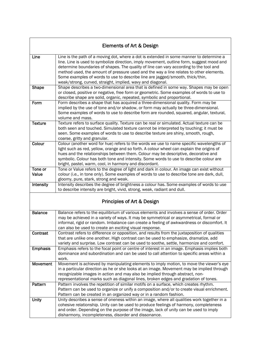|                  | <b>Elements of Art &amp; Design</b>                                                                                                                                                                                                                                                                                                                                                                                                                                                                                     |
|------------------|-------------------------------------------------------------------------------------------------------------------------------------------------------------------------------------------------------------------------------------------------------------------------------------------------------------------------------------------------------------------------------------------------------------------------------------------------------------------------------------------------------------------------|
| Line             | Line is the path of a moving dot, where a dot is extended in some manner to determine a<br>line. Line is used to symbolize direction, imply movement, outline form, suggest mood and<br>determine boundaries of shapes. The quality of line can vary according to the tool and<br>method used, the amount of pressure used and the way a line relates to other elements.<br>Some examples of words to use to describe line are jagged/smooth, thick/thin,<br>weak/strong, curved, straight, implied, wavy and diagonal. |
| <b>Shape</b>     | Shape describes a two-dimensional area that is defined in some way. Shapes may be open<br>or closed, positive or negative, free form or geometric. Some examples of words to use to<br>describe shape are solid, organic, repeated, symbolic and proportional.                                                                                                                                                                                                                                                          |
| Form             | Form describes a shape that has acquired a three-dimensional quality. Form may be<br>implied by the use of tone and/or shadow, or form may actually be three-dimensional.<br>Some examples of words to use to describe form are rounded, squared, angular, textural,<br>volume and mass.                                                                                                                                                                                                                                |
| <b>Texture</b>   | Texture refers to surface quality. Texture can be real or simulated. Actual texture can be<br>both seen and touched. Simulated texture cannot be interpreted by touching; it must be<br>seen. Some examples of words to use to describe texture are shiny, smooth, rough,<br>coarse, gritty and granular.                                                                                                                                                                                                               |
| Colour           | Colour (another word for hue) refers to the words we use to name specific wavelengths of<br>light such as red, yellow, orange and so forth. A colour wheel can explain the origins of<br>hues and the relationships between them. Colour may be descriptive, decorative and<br>symbolic. Colour has both tone and intensity. Some words to use to describe colour are<br>bright, pastel, warm, cool, in harmony and discordant.                                                                                         |
| Tone or<br>Value | Tone or Value refers to the degree of light and dark in colour. An image can exist without<br>colour (i.e., in tone only). Some examples of words to use to describe tone are dark, dull,<br>gloomy, pure, stark, strong and weak.                                                                                                                                                                                                                                                                                      |
| Intensity        | Intensity describes the degree of brightness a colour has. Some examples of words to use<br>to describe intensity are bright, vivid, strong, weak, radiant and dull.                                                                                                                                                                                                                                                                                                                                                    |
|                  | <b>Principles of Art &amp; Design</b>                                                                                                                                                                                                                                                                                                                                                                                                                                                                                   |
| <b>Balance</b>   | Balance refers to the equilibrium of various elements and involves a sense of order. Order<br>may be achieved in a variety of ways. It may be symmetrical or asymmetrical, formal or<br>informal, rigid or random. Imbalance can create a feeling of awkwardness or discomfort. It<br>can also be used to create an exciting visual response.                                                                                                                                                                           |
| Contrast         | Contrast refers to difference or opposition, and results from the juxtaposition of qualities<br>that are unlike one another. High contrast can be used to emphasize, dramatize, add<br>variety and surprise. Low contrast can be used to soothe, settle, harmonize and comfort.                                                                                                                                                                                                                                         |
| Emphasis         | Emphasis refers to the focal point or centre of interest in an image. Emphasis implies both<br>dominance and subordination and can be used to call attention to specific areas within a<br>work.                                                                                                                                                                                                                                                                                                                        |
| <b>Movement</b>  | Movement is achieved by manipulating elements to imply motion, to move the viewer's eye<br>in a particular direction as he or she looks at an image. Movement may be implied through<br>recognizable images in action and may also be implied through abstract, non-<br>representational marks such as diagonal lines, broken edges and gradation of tones.                                                                                                                                                             |
| Pattern          | Pattern involves the repetition of similar motifs on a surface, which creates rhythm.<br>Pattern can be used to organize or unify a composition and/or to create visual enrichment.<br>Pattern can be created in an organized way or in a random fashion.                                                                                                                                                                                                                                                               |
| <b>Unity</b>     | Unity describes a sense of oneness within an image, where all qualities work together in a<br>cohesive relationship. Unity can be used to produce feelings of harmony, completeness<br>and order. Depending on the purpose of the image, lack of unity can be used to imply<br>disharmony, incompleteness, disorder and dissonance.                                                                                                                                                                                     |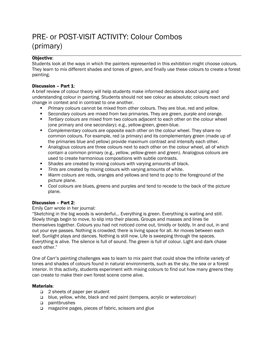# PRE- or POST-VISIT ACTIVITY: Colour Combos (primary)

# Objective:

Students look at the ways in which the painters represented in this exhibition might choose colours. They learn to mix different shades and tones of green, and finally use these colours to create a forest painting.

# Discussion – Part 1:

A brief review of colour theory will help students make informed decisions about using and understanding colour in painting. Students should not see colour as absolute; colours react and change in context and in contrast to one another.

- *Primary colours* cannot be mixed from other colours. They are blue, red and yellow.
- *Secondary colours* are mixed from two primaries. They are green, purple and orange.
- *Tertiary colours* are mixed from two colours adjacent to each other on the colour wheel (one primary and one secondary); e.g., yellow-green, green-blue.
- *Complementary* colours are opposite each other on the colour wheel. They share no common colours. For example, red (a primary) and its complementary green (made up of the primaries blue and yellow) provide maximum contrast and intensify each other.
- *Analogous* colours are three colours next to each other on the colour wheel, all of which contain a common primary (e.g., yellow, yellow-green and green). Analogous colours are used to create harmonious compositions with subtle contrasts.
- *Shades* are created by mixing colours with varying amounts of black.
- *Tints* are created by mixing colours with varying amounts of white.
- *Warm colours* are reds, oranges and yellows and tend to pop to the foreground of the picture plane.
- *Cool colours* are blues, greens and purples and tend to recede to the back of the picture plane.

# Discussion – Part 2:

# Emily Carr wrote in her journal:

"Sketching in the big woods is wonderful… Everything is green. Everything is waiting and still. Slowly things begin to move, to slip into their places. Groups and masses and lines tie themselves together. Colours you had not noticed come out, timidly or boldly. In and out, in and out your eye passes. Nothing is crowded; there is living space for all. Air moves between each leaf. Sunlight plays and dances. Nothing is still now. Life is sweeping through the spaces. Everything is alive. The silence is full of sound. The green is full of colour. Light and dark chase each other."

One of Carr's painting challenges was to learn to mix paint that could show the infinite variety of tones and shades of colours found in natural environments, such as the sky, the sea or a forest interior. In this activity, students experiment with mixing colours to find out how many greens they can create to make their own forest scene come alive.

# Materials:

- □ 2 sheets of paper per student
- □ blue, yellow, white, black and red paint (tempera, acrylic or watercolour)
- paintbrushes
- □ magazine pages, pieces of fabric, scissors and glue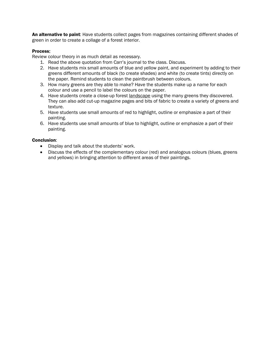An alternative to paint: Have students collect pages from magazines containing different shades of green in order to create a collage of a forest interior.

### Process:

Review colour theory in as much detail as necessary.

- 1. Read the above quotation from Carr's journal to the class. Discuss.
- 2. Have students mix small amounts of blue and yellow paint, and experiment by adding to their greens different amounts of black (to create shades) and white (to create tints) directly on the paper. Remind students to clean the paintbrush between colours.
- 3. How many greens are they able to make? Have the students make up a name for each colour and use a pencil to label the colours on the paper.
- 4. Have students create a close-up forest landscape using the many greens they discovered. They can also add cut-up magazine pages and bits of fabric to create a variety of greens and texture.
- 5. Have students use small amounts of red to highlight, outline or emphasize a part of their painting.
- 6. Have students use small amounts of blue to highlight, outline or emphasize a part of their painting.

- Display and talk about the students' work.
- Discuss the effects of the complementary colour (red) and analogous colours (blues, greens and yellows) in bringing attention to different areas of their paintings.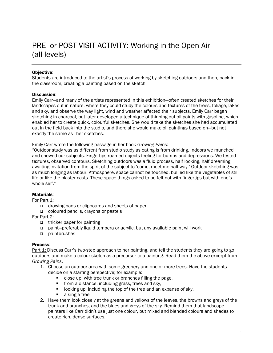# PRE- or POST-VISIT ACTIVITY: Working in the Open Air (all levels)

### Objective:

Students are introduced to the artist's process of working by sketching outdoors and then, back in the classroom, creating a painting based on the sketch.

#### Discussion:

Emily Carr—and many of the artists represented in this exhibition—often created sketches for their landscapes out in nature, where they could study the colours and textures of the trees, foliage, lakes and sky, and observe the way light, wind and weather affected their subjects. Emily Carr began sketching in charcoal, but later developed a technique of thinning out oil paints with gasoline, which enabled her to create quick, colourful sketches. She would take the sketches she had accumulated out in the field back into the studio, and there she would make oil paintings based on—but not exactly the same as—her sketches.

Emily Carr wrote the following passage in her book *Growing Pains*:

"Outdoor study was as different from studio study as eating is from drinking. Indoors we munched and chewed our subjects. Fingertips roamed objects feeling for bumps and depressions. We tested textures, observed contours. Sketching outdoors was a fluid process, half looking, half dreaming, awaiting invitation from the spirit of the subject to 'come, meet me half way.' Outdoor sketching was as much longing as labour. Atmosphere, space cannot be touched, bullied like the vegetables of still life or like the plaster casts. These space things asked to be felt not with fingertips but with one's whole self."

#### Materials:

For Part 1:

- □ drawing pads or clipboards and sheets of paper
- coloured pencils, crayons or pastels

For Part 2:

- $\Box$  thicker paper for painting
- paint—preferably liquid tempera or acrylic, but any available paint will work
- paintbrushes

#### Process:

Part 1: Discuss Carr's two-step approach to her painting, and tell the students they are going to go outdoors and make a colour sketch as a precursor to a painting. Read them the above excerpt from *Growing Pains*.

- 1. Choose an outdoor area with some greenery and one or more trees. Have the students decide on a starting perspective; for example:
	- close up, with tree trunk or branches filling the page,
	- **from a distance, including grass, trees and sky,**
	- **If** looking up, including the top of the tree and an expanse of sky,
	- a single tree.
- 2. Have them look closely at the greens and yellows of the leaves, the browns and greys of the trunk and branches, and the blues and greys of the sky. Remind them that landscape painters like Carr didn't use just one colour, but mixed and blended colours and shades to create rich, dense surfaces.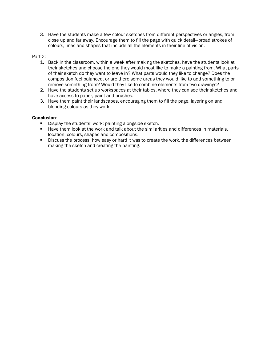3. Have the students make a few colour sketches from different perspectives or angles, from close up and far away. Encourage them to fill the page with quick detail—broad strokes of colours, lines and shapes that include all the elements in their line of vision.

### Part 2:

- 1. Back in the classroom, within a week after making the sketches, have the students look at their sketches and choose the one they would most like to make a painting from. What parts of their sketch do they want to leave in? What parts would they like to change? Does the composition feel balanced, or are there some areas they would like to add something to or remove something from? Would they like to combine elements from two drawings?
- 2. Have the students set up workspaces at their tables, where they can see their sketches and have access to paper, paint and brushes.
- 3. Have them paint their landscapes, encouraging them to fill the page, layering on and blending colours as they work.

- Display the students' work: painting alongside sketch.
- Have them look at the work and talk about the similarities and differences in materials, location, colours, shapes and compositions.
- **Discuss the process, how easy or hard it was to create the work, the differences between** making the sketch and creating the painting.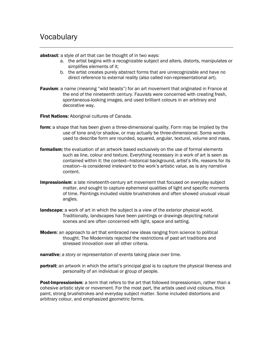abstract: a style of art that can be thought of in two ways:

- a. the artist begins with a recognizable subject and alters, distorts, manipulates or simplifies elements of it;
- b. the artist creates purely abstract forms that are unrecognizable and have no direct reference to external reality (also called non-representational art).
- **Fauvism:** a name (meaning "wild beasts") for an art movement that originated in France at the end of the nineteenth century. Fauvists were concerned with creating fresh, spontaneous-looking images, and used brilliant colours in an arbitrary and decorative way.

**First Nations:** Aboriginal cultures of Canada.

- form: a shape that has been given a three-dimensional quality. Form may be implied by the use of tone and/or shadow, or may actually be three-dimensional. Some words used to describe form are rounded, squared, angular, textural, volume and mass.
- formalism: the evaluation of an artwork based exclusively on the use of formal elements such as line, colour and texture. Everything necessary in a work of art is seen as contained within it: the context—historical background, artist's life, reasons for its creation—is considered irrelevant to the work's artistic value, as is any narrative content.
- **Impressionism**: a late nineteenth-century art movement that focused on everyday subject matter, and sought to capture ephemeral qualities of light and specific moments of time. Paintings included visible brushstrokes and often showed unusual visual angles.
- **landscape:** a work of art in which the subject is a view of the exterior physical world. Traditionally, landscapes have been paintings or drawings depicting natural scenes and are often concerned with light, space and setting.
- **Modern:** an approach to art that embraced new ideas ranging from science to political thought. The Modernists rejected the restrictions of past art traditions and stressed innovation over all other criteria.
- narrative: a story or representation of events taking place over time.
- portrait: an artwork in which the artist's principal goal is to capture the physical likeness and personality of an individual or group of people.

**Post-Impressionism**: a term that refers to the art that followed Impressionism, rather than a cohesive artistic style or movement. For the most part, the artists used vivid colours, thick paint, strong brushstrokes and everyday subject matter. Some included distortions and arbitrary colour, and emphasized geometric forms.